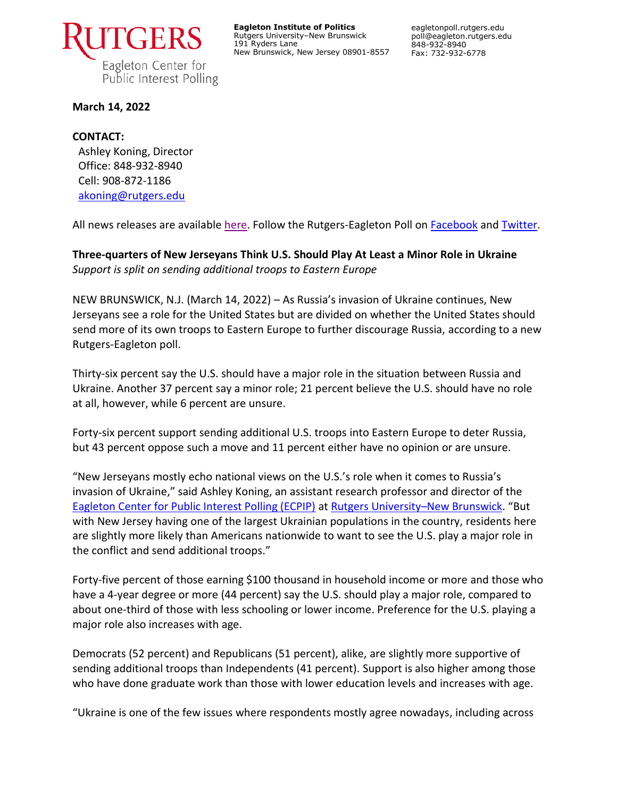

**Eagleton Institute of Politics** Rutgers University–New Brunswick 191 Ryders Lane New Brunswick, New Jersey 08901-8557 eagletonpoll.rutgers.edu poll@eagleton.rutgers.edu 848-932-8940 Fax: 732-932-6778

### **March 14, 2022**

### **CONTACT:**

Ashley Koning, Director Office: 848-932-8940 Cell: 908-872-1186 [akoning@rutgers.edu](mailto:akoning@rutgers.edu)

All news releases are availabl[e here.](https://eagletonpoll.rutgers.edu/press_releases/) Follow the Rutgers-Eagleton Poll on [Facebook](https://www.facebook.com/RutgersEagletonPoll) and [Twitter.](https://twitter.com/EagletonPoll)

## **Three-quarters of New Jerseyans Think U.S. Should Play At Least a Minor Role in Ukraine** *Support is split on sending additional troops to Eastern Europe*

NEW BRUNSWICK, N.J. (March 14, 2022) – As Russia's invasion of Ukraine continues, New Jerseyans see a role for the United States but are divided on whether the United States should send more of its own troops to Eastern Europe to further discourage Russia, according to a new Rutgers-Eagleton poll.

Thirty-six percent say the U.S. should have a major role in the situation between Russia and Ukraine. Another 37 percent say a minor role; 21 percent believe the U.S. should have no role at all, however, while 6 percent are unsure.

Forty-six percent support sending additional U.S. troops into Eastern Europe to deter Russia, but 43 percent oppose such a move and 11 percent either have no opinion or are unsure.

"New Jerseyans mostly echo national views on the U.S.'s role when it comes to Russia's invasion of Ukraine," said Ashley Koning, an assistant research professor and director of the [Eagleton Center for Public Interest Polling \(ECPIP\)](http://eagletonpoll.rutgers.edu/) at [Rutgers University](https://newbrunswick.rutgers.edu/)–New Brunswick. "But with New Jersey having one of the largest Ukrainian populations in the country, residents here are slightly more likely than Americans nationwide to want to see the U.S. play a major role in the conflict and send additional troops."

Forty-five percent of those earning \$100 thousand in household income or more and those who have a 4-year degree or more (44 percent) say the U.S. should play a major role, compared to about one-third of those with less schooling or lower income. Preference for the U.S. playing a major role also increases with age.

Democrats (52 percent) and Republicans (51 percent), alike, are slightly more supportive of sending additional troops than Independents (41 percent). Support is also higher among those who have done graduate work than those with lower education levels and increases with age.

"Ukraine is one of the few issues where respondents mostly agree nowadays, including across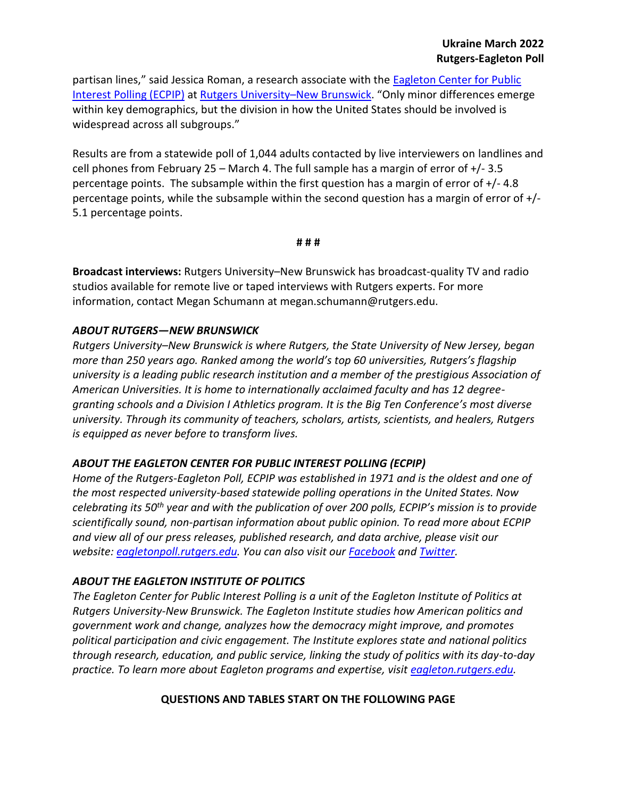partisan lines," said Jessica Roman, a research associate with the Eagleton Center for Public [Interest Polling \(ECPIP\)](http://eagletonpoll.rutgers.edu/) at [Rutgers University](https://newbrunswick.rutgers.edu/)–New Brunswick. "Only minor differences emerge within key demographics, but the division in how the United States should be involved is widespread across all subgroups."

Results are from a statewide poll of 1,044 adults contacted by live interviewers on landlines and cell phones from February 25 – March 4. The full sample has a margin of error of  $+/-3.5$ percentage points. The subsample within the first question has a margin of error of +/- 4.8 percentage points, while the subsample within the second question has a margin of error of +/- 5.1 percentage points.

#### **# # #**

**Broadcast interviews:** Rutgers University–New Brunswick has broadcast-quality TV and radio studios available for remote live or taped interviews with Rutgers experts. For more information, contact Megan Schumann at megan.schumann@rutgers.edu.

### *ABOUT RUTGERS—NEW BRUNSWICK*

*Rutgers University–New Brunswick is where Rutgers, the State University of New Jersey, began more than 250 years ago. Ranked among the world's top 60 universities, Rutgers's flagship university is a leading public research institution and a member of the prestigious Association of American Universities. It is home to internationally acclaimed faculty and has 12 degreegranting schools and a Division I Athletics program. It is the Big Ten Conference's most diverse university. Through its community of teachers, scholars, artists, scientists, and healers, Rutgers is equipped as never before to transform lives.*

### *ABOUT THE EAGLETON CENTER FOR PUBLIC INTEREST POLLING (ECPIP)*

*Home of the Rutgers-Eagleton Poll, ECPIP was established in 1971 and is the oldest and one of the most respected university-based statewide polling operations in the United States. Now celebrating its 50th year and with the publication of over 200 polls, ECPIP's mission is to provide scientifically sound, non-partisan information about public opinion. To read more about ECPIP and view all of our press releases, published research, and data archive, please visit our website: [eagletonpoll.rutgers.edu.](http://eagletonpoll.rutgers.edu/) You can also visit our [Facebook](https://www.facebook.com/RutgersEagletonPoll/) and [Twitter.](https://twitter.com/EagletonPoll)*

### *ABOUT THE EAGLETON INSTITUTE OF POLITICS*

*The Eagleton Center for Public Interest Polling is a unit of the Eagleton Institute of Politics at Rutgers University-New Brunswick. The Eagleton Institute studies how American politics and government work and change, analyzes how the democracy might improve, and promotes political participation and civic engagement. The Institute explores state and national politics through research, education, and public service, linking the study of politics with its day-to-day practice. To learn more about Eagleton programs and expertise, visit [eagleton.rutgers.edu.](http://eagleton.rutgers.edu/)*

### **QUESTIONS AND TABLES START ON THE FOLLOWING PAGE**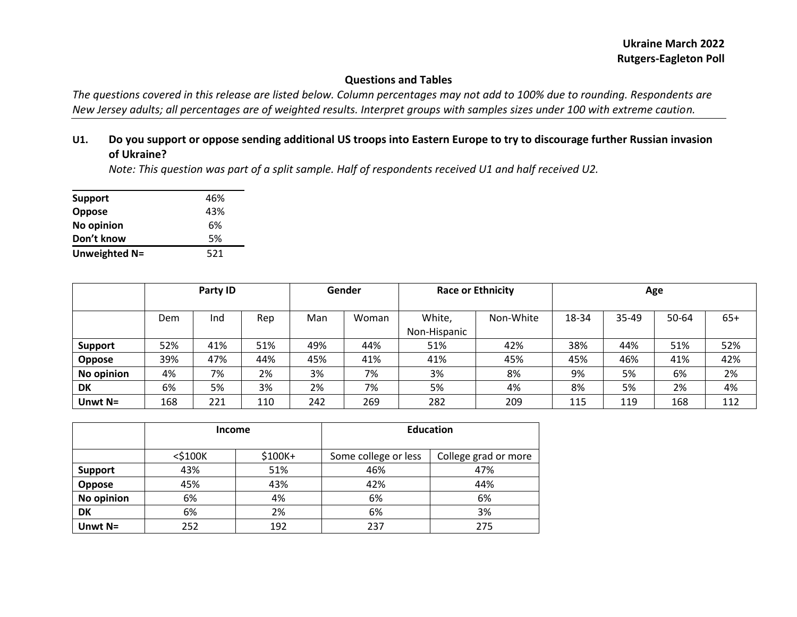# **Questions and Tables**

*The questions covered in this release are listed below. Column percentages may not add to 100% due to rounding. Respondents are New Jersey adults; all percentages are of weighted results. Interpret groups with samples sizes under 100 with extreme caution.*

## **U1. Do you support or oppose sending additional US troops into Eastern Europe to try to discourage further Russian invasion of Ukraine?**

*Note: This question was part of a split sample. Half of respondents received U1 and half received U2.*

| <b>Support</b> | 46% |
|----------------|-----|
| Oppose         | 43% |
| No opinion     | 6%  |
| Don't know     | .5% |
| Unweighted N=  | 521 |

|                |     | Party ID |     |     | Gender | <b>Race or Ethnicity</b> |           | Age   |       |       |       |
|----------------|-----|----------|-----|-----|--------|--------------------------|-----------|-------|-------|-------|-------|
|                | Dem | Ind      | Rep | Man | Woman  | White,                   | Non-White | 18-34 | 35-49 | 50-64 | $65+$ |
|                |     |          |     |     |        | Non-Hispanic             |           |       |       |       |       |
| <b>Support</b> | 52% | 41%      | 51% | 49% | 44%    | 51%                      | 42%       | 38%   | 44%   | 51%   | 52%   |
| <b>Oppose</b>  | 39% | 47%      | 44% | 45% | 41%    | 41%                      | 45%       | 45%   | 46%   | 41%   | 42%   |
| No opinion     | 4%  | 7%       | 2%  | 3%  | 7%     | 3%                       | 8%        | 9%    | 5%    | 6%    | 2%    |
| <b>DK</b>      | 6%  | 5%       | 3%  | 2%  | 7%     | 5%                       | 4%        | 8%    | 5%    | 2%    | 4%    |
| Unwt $N=$      | 168 | 221      | 110 | 242 | 269    | 282                      | 209       | 115   | 119   | 168   | 112   |

|                | <b>Income</b> |          | <b>Education</b>     |                      |  |  |
|----------------|---------------|----------|----------------------|----------------------|--|--|
|                | $<$ \$100 $K$ | $$100K+$ | Some college or less | College grad or more |  |  |
| <b>Support</b> | 43%           | 51%      | 46%                  | 47%                  |  |  |
| Oppose         | 45%           | 43%      | 42%                  | 44%                  |  |  |
| No opinion     | 6%            | 4%       | 6%                   | 6%                   |  |  |
| DK             | 6%            | 2%       | 6%                   | 3%                   |  |  |
| Unwt $N=$      | 252           | 192      | 237                  | 275                  |  |  |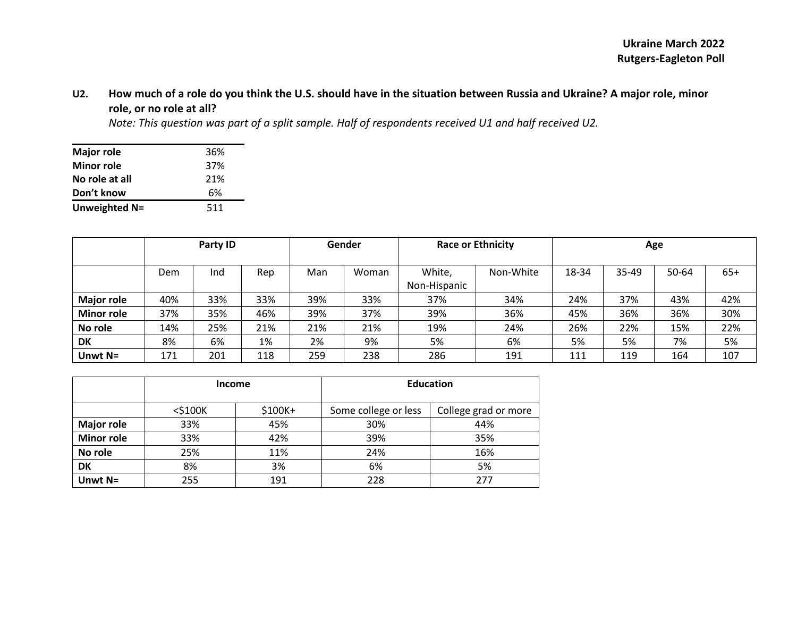## **U2. How much of a role do you think the U.S. should have in the situation between Russia and Ukraine? A major role, minor role, or no role at all?**

*Note: This question was part of a split sample. Half of respondents received U1 and half received U2.*

| <b>Major role</b> | 36% |
|-------------------|-----|
| <b>Minor role</b> | 37% |
| No role at all    | 21% |
| Don't know        | 6%  |
| Unweighted N=     | 511 |

|                   |     | Party ID |     |     | Gender | <b>Race or Ethnicity</b> |           | Age   |       |       |       |
|-------------------|-----|----------|-----|-----|--------|--------------------------|-----------|-------|-------|-------|-------|
|                   |     |          |     |     |        |                          |           |       |       |       |       |
|                   | Dem | Ind      | Rep | Man | Woman  | White,                   | Non-White | 18-34 | 35-49 | 50-64 | $65+$ |
|                   |     |          |     |     |        | Non-Hispanic             |           |       |       |       |       |
| <b>Major role</b> | 40% | 33%      | 33% | 39% | 33%    | 37%                      | 34%       | 24%   | 37%   | 43%   | 42%   |
| <b>Minor role</b> | 37% | 35%      | 46% | 39% | 37%    | 39%                      | 36%       | 45%   | 36%   | 36%   | 30%   |
| No role           | 14% | 25%      | 21% | 21% | 21%    | 19%                      | 24%       | 26%   | 22%   | 15%   | 22%   |
| DK                | 8%  | 6%       | 1%  | 2%  | 9%     | 5%                       | 6%        | 5%    | 5%    | 7%    | 5%    |
| Unwt $N=$         | 171 | 201      | 118 | 259 | 238    | 286                      | 191       | 111   | 119   | 164   | 107   |

|                   | <b>Income</b> |         | <b>Education</b>     |                      |  |  |
|-------------------|---------------|---------|----------------------|----------------------|--|--|
|                   | $<$ \$100 $K$ | \$100K+ | Some college or less | College grad or more |  |  |
| <b>Major role</b> | 33%           | 45%     | 30%                  | 44%                  |  |  |
| <b>Minor role</b> | 33%           | 42%     | 39%                  | 35%                  |  |  |
| No role           | 25%           | 11%     | 24%                  | 16%                  |  |  |
| DK                | 8%            | 3%      | 6%                   | 5%                   |  |  |
| Unwt $N=$         | 255           | 191     | 228                  | 277                  |  |  |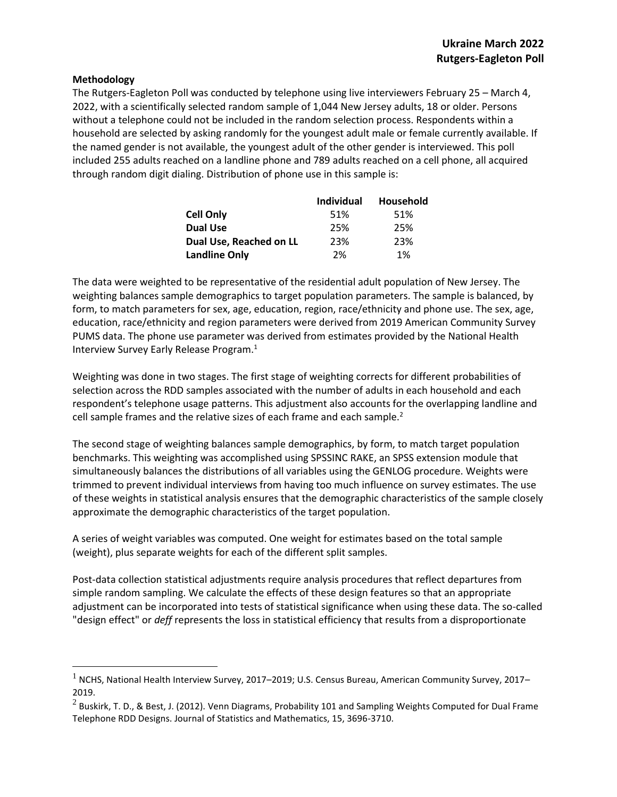#### **Methodology**

 $\overline{a}$ 

The Rutgers-Eagleton Poll was conducted by telephone using live interviewers February 25 – March 4, 2022, with a scientifically selected random sample of 1,044 New Jersey adults, 18 or older. Persons without a telephone could not be included in the random selection process. Respondents within a household are selected by asking randomly for the youngest adult male or female currently available. If the named gender is not available, the youngest adult of the other gender is interviewed. This poll included 255 adults reached on a landline phone and 789 adults reached on a cell phone, all acquired through random digit dialing. Distribution of phone use in this sample is:

|                         | <b>Individual</b> | Household |
|-------------------------|-------------------|-----------|
| <b>Cell Only</b>        | 51%               | 51%       |
| <b>Dual Use</b>         | 25%               | 25%       |
| Dual Use, Reached on LL | 23%               | 23%       |
| <b>Landline Only</b>    | 2%                | 1%        |

The data were weighted to be representative of the residential adult population of New Jersey. The weighting balances sample demographics to target population parameters. The sample is balanced, by form, to match parameters for sex, age, education, region, race/ethnicity and phone use. The sex, age, education, race/ethnicity and region parameters were derived from 2019 American Community Survey PUMS data. The phone use parameter was derived from estimates provided by the National Health Interview Survey Early Release Program.<sup>1</sup>

Weighting was done in two stages. The first stage of weighting corrects for different probabilities of selection across the RDD samples associated with the number of adults in each household and each respondent's telephone usage patterns. This adjustment also accounts for the overlapping landline and cell sample frames and the relative sizes of each frame and each sample. $2$ 

The second stage of weighting balances sample demographics, by form, to match target population benchmarks. This weighting was accomplished using SPSSINC RAKE, an SPSS extension module that simultaneously balances the distributions of all variables using the GENLOG procedure. Weights were trimmed to prevent individual interviews from having too much influence on survey estimates. The use of these weights in statistical analysis ensures that the demographic characteristics of the sample closely approximate the demographic characteristics of the target population.

A series of weight variables was computed. One weight for estimates based on the total sample (weight), plus separate weights for each of the different split samples.

Post-data collection statistical adjustments require analysis procedures that reflect departures from simple random sampling. We calculate the effects of these design features so that an appropriate adjustment can be incorporated into tests of statistical significance when using these data. The so-called "design effect" or *deff* represents the loss in statistical efficiency that results from a disproportionate

 $1$  NCHS, National Health Interview Survey, 2017–2019; U.S. Census Bureau, American Community Survey, 2017– 2019.

 $^2$  Buskirk, T. D., & Best, J. (2012). Venn Diagrams, Probability 101 and Sampling Weights Computed for Dual Frame Telephone RDD Designs. Journal of Statistics and Mathematics, 15, 3696-3710.